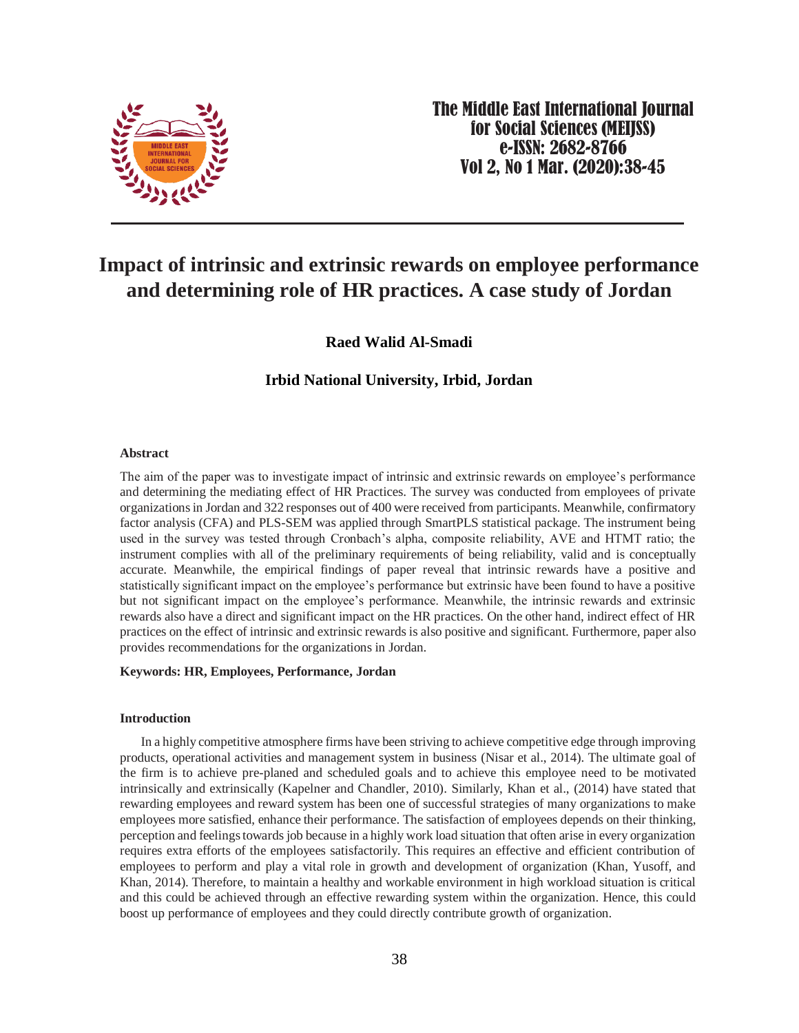

The Middle East International Journal for Social Sciences (MEIJSS) e-ISSN: 2682-8766 Vol 2, No 1 Mar. (2020):38-45

# **Impact of intrinsic and extrinsic rewards on employee performance and determining role of HR practices. A case study of Jordan**

**Raed Walid Al-Smadi**

**Irbid National University, Irbid, Jordan**

# **Abstract**

The aim of the paper was to investigate impact of intrinsic and extrinsic rewards on employee's performance and determining the mediating effect of HR Practices. The survey was conducted from employees of private organizations in Jordan and 322 responses out of 400 were received from participants. Meanwhile, confirmatory factor analysis (CFA) and PLS-SEM was applied through SmartPLS statistical package. The instrument being used in the survey was tested through Cronbach's alpha, composite reliability, AVE and HTMT ratio; the instrument complies with all of the preliminary requirements of being reliability, valid and is conceptually accurate. Meanwhile, the empirical findings of paper reveal that intrinsic rewards have a positive and statistically significant impact on the employee's performance but extrinsic have been found to have a positive but not significant impact on the employee's performance. Meanwhile, the intrinsic rewards and extrinsic rewards also have a direct and significant impact on the HR practices. On the other hand, indirect effect of HR practices on the effect of intrinsic and extrinsic rewards is also positive and significant. Furthermore, paper also provides recommendations for the organizations in Jordan.

# **Keywords: HR, Employees, Performance, Jordan**

### **Introduction**

In a highly competitive atmosphere firms have been striving to achieve competitive edge through improving products, operational activities and management system in business (Nisar et al., 2014). The ultimate goal of the firm is to achieve pre-planed and scheduled goals and to achieve this employee need to be motivated intrinsically and extrinsically (Kapelner and Chandler, 2010). Similarly, Khan et al., (2014) have stated that rewarding employees and reward system has been one of successful strategies of many organizations to make employees more satisfied, enhance their performance. The satisfaction of employees depends on their thinking, perception and feelings towards job because in a highly work load situation that often arise in every organization requires extra efforts of the employees satisfactorily. This requires an effective and efficient contribution of employees to perform and play a vital role in growth and development of organization (Khan, Yusoff, and Khan, 2014). Therefore, to maintain a healthy and workable environment in high workload situation is critical and this could be achieved through an effective rewarding system within the organization. Hence, this could boost up performance of employees and they could directly contribute growth of organization.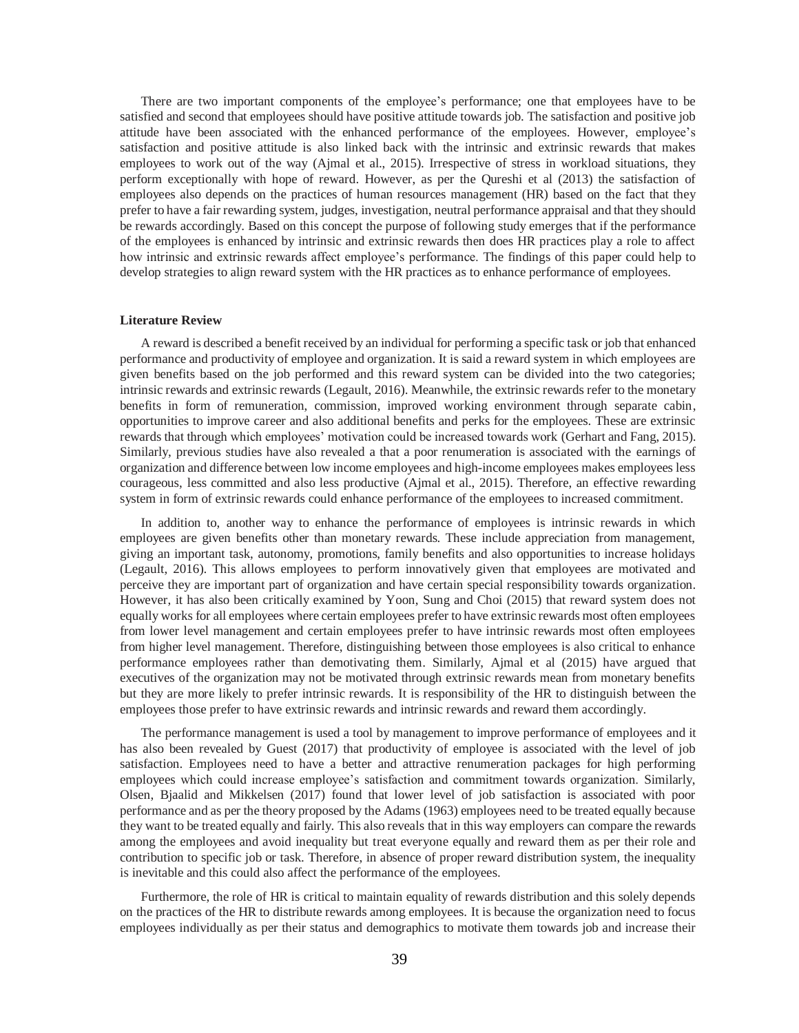There are two important components of the employee's performance; one that employees have to be satisfied and second that employees should have positive attitude towards job. The satisfaction and positive job attitude have been associated with the enhanced performance of the employees. However, employee's satisfaction and positive attitude is also linked back with the intrinsic and extrinsic rewards that makes employees to work out of the way (Ajmal et al., 2015). Irrespective of stress in workload situations, they perform exceptionally with hope of reward. However, as per the Qureshi et al (2013) the satisfaction of employees also depends on the practices of human resources management (HR) based on the fact that they prefer to have a fair rewarding system, judges, investigation, neutral performance appraisal and that they should be rewards accordingly. Based on this concept the purpose of following study emerges that if the performance of the employees is enhanced by intrinsic and extrinsic rewards then does HR practices play a role to affect how intrinsic and extrinsic rewards affect employee's performance. The findings of this paper could help to develop strategies to align reward system with the HR practices as to enhance performance of employees.

#### **Literature Review**

A reward is described a benefit received by an individual for performing a specific task or job that enhanced performance and productivity of employee and organization. It is said a reward system in which employees are given benefits based on the job performed and this reward system can be divided into the two categories; intrinsic rewards and extrinsic rewards (Legault, 2016). Meanwhile, the extrinsic rewards refer to the monetary benefits in form of remuneration, commission, improved working environment through separate cabin, opportunities to improve career and also additional benefits and perks for the employees. These are extrinsic rewards that through which employees' motivation could be increased towards work (Gerhart and Fang, 2015). Similarly, previous studies have also revealed a that a poor renumeration is associated with the earnings of organization and difference between low income employees and high-income employees makes employees less courageous, less committed and also less productive (Ajmal et al., 2015). Therefore, an effective rewarding system in form of extrinsic rewards could enhance performance of the employees to increased commitment.

In addition to, another way to enhance the performance of employees is intrinsic rewards in which employees are given benefits other than monetary rewards. These include appreciation from management, giving an important task, autonomy, promotions, family benefits and also opportunities to increase holidays (Legault, 2016). This allows employees to perform innovatively given that employees are motivated and perceive they are important part of organization and have certain special responsibility towards organization. However, it has also been critically examined by Yoon, Sung and Choi (2015) that reward system does not equally works for all employees where certain employees prefer to have extrinsic rewards most often employees from lower level management and certain employees prefer to have intrinsic rewards most often employees from higher level management. Therefore, distinguishing between those employees is also critical to enhance performance employees rather than demotivating them. Similarly, Ajmal et al (2015) have argued that executives of the organization may not be motivated through extrinsic rewards mean from monetary benefits but they are more likely to prefer intrinsic rewards. It is responsibility of the HR to distinguish between the employees those prefer to have extrinsic rewards and intrinsic rewards and reward them accordingly.

The performance management is used a tool by management to improve performance of employees and it has also been revealed by Guest (2017) that productivity of employee is associated with the level of job satisfaction. Employees need to have a better and attractive renumeration packages for high performing employees which could increase employee's satisfaction and commitment towards organization. Similarly, Olsen, Bjaalid and Mikkelsen (2017) found that lower level of job satisfaction is associated with poor performance and as per the theory proposed by the Adams (1963) employees need to be treated equally because they want to be treated equally and fairly. This also reveals that in this way employers can compare the rewards among the employees and avoid inequality but treat everyone equally and reward them as per their role and contribution to specific job or task. Therefore, in absence of proper reward distribution system, the inequality is inevitable and this could also affect the performance of the employees.

Furthermore, the role of HR is critical to maintain equality of rewards distribution and this solely depends on the practices of the HR to distribute rewards among employees. It is because the organization need to focus employees individually as per their status and demographics to motivate them towards job and increase their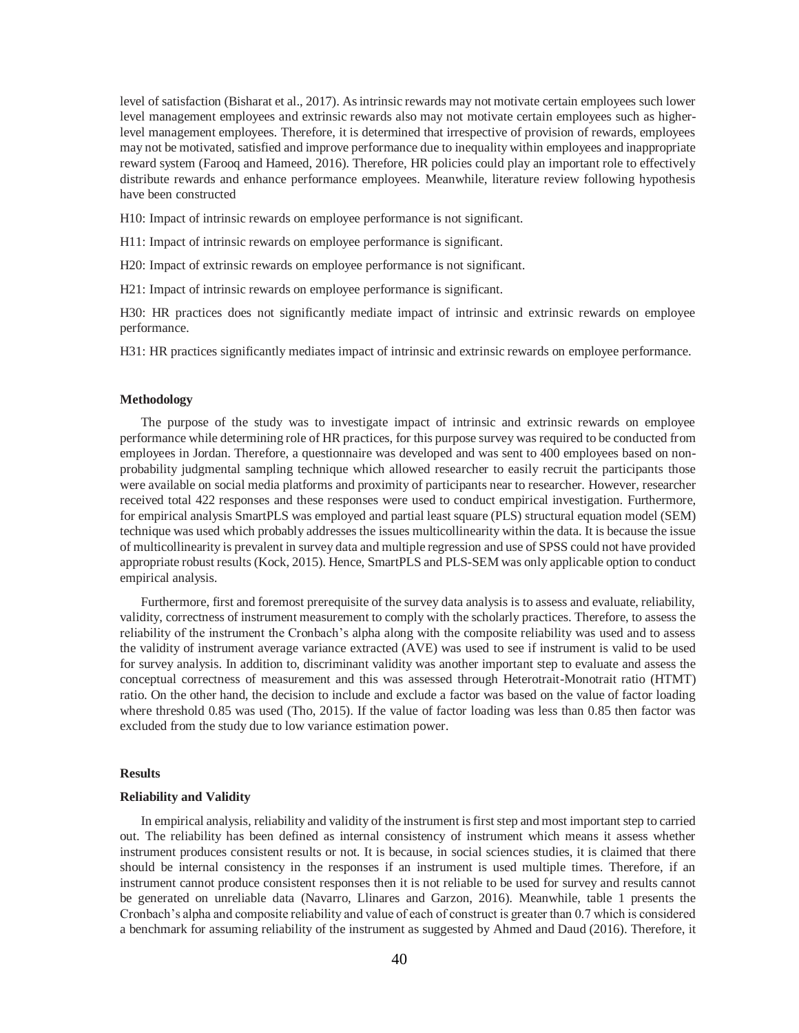level of satisfaction (Bisharat et al., 2017). As intrinsic rewards may not motivate certain employees such lower level management employees and extrinsic rewards also may not motivate certain employees such as higherlevel management employees. Therefore, it is determined that irrespective of provision of rewards, employees may not be motivated, satisfied and improve performance due to inequality within employees and inappropriate reward system (Farooq and Hameed, 2016). Therefore, HR policies could play an important role to effectively distribute rewards and enhance performance employees. Meanwhile, literature review following hypothesis have been constructed

H10: Impact of intrinsic rewards on employee performance is not significant.

H11: Impact of intrinsic rewards on employee performance is significant.

H20: Impact of extrinsic rewards on employee performance is not significant.

H21: Impact of intrinsic rewards on employee performance is significant.

H30: HR practices does not significantly mediate impact of intrinsic and extrinsic rewards on employee performance.

H31: HR practices significantly mediates impact of intrinsic and extrinsic rewards on employee performance.

## **Methodology**

The purpose of the study was to investigate impact of intrinsic and extrinsic rewards on employee performance while determining role of HR practices, for this purpose survey was required to be conducted from employees in Jordan. Therefore, a questionnaire was developed and was sent to 400 employees based on nonprobability judgmental sampling technique which allowed researcher to easily recruit the participants those were available on social media platforms and proximity of participants near to researcher. However, researcher received total 422 responses and these responses were used to conduct empirical investigation. Furthermore, for empirical analysis SmartPLS was employed and partial least square (PLS) structural equation model (SEM) technique was used which probably addresses the issues multicollinearity within the data. It is because the issue of multicollinearity is prevalent in survey data and multiple regression and use of SPSS could not have provided appropriate robust results (Kock, 2015). Hence, SmartPLS and PLS-SEM was only applicable option to conduct empirical analysis.

Furthermore, first and foremost prerequisite of the survey data analysis is to assess and evaluate, reliability, validity, correctness of instrument measurement to comply with the scholarly practices. Therefore, to assess the reliability of the instrument the Cronbach's alpha along with the composite reliability was used and to assess the validity of instrument average variance extracted (AVE) was used to see if instrument is valid to be used for survey analysis. In addition to, discriminant validity was another important step to evaluate and assess the conceptual correctness of measurement and this was assessed through Heterotrait-Monotrait ratio (HTMT) ratio. On the other hand, the decision to include and exclude a factor was based on the value of factor loading where threshold 0.85 was used (Tho, 2015). If the value of factor loading was less than 0.85 then factor was excluded from the study due to low variance estimation power.

#### **Results**

#### **Reliability and Validity**

In empirical analysis, reliability and validity of the instrument is first step and most important step to carried out. The reliability has been defined as internal consistency of instrument which means it assess whether instrument produces consistent results or not. It is because, in social sciences studies, it is claimed that there should be internal consistency in the responses if an instrument is used multiple times. Therefore, if an instrument cannot produce consistent responses then it is not reliable to be used for survey and results cannot be generated on unreliable data (Navarro, Llinares and Garzon, 2016). Meanwhile, table 1 presents the Cronbach's alpha and composite reliability and value of each of construct is greater than 0.7 which is considered a benchmark for assuming reliability of the instrument as suggested by Ahmed and Daud (2016). Therefore, it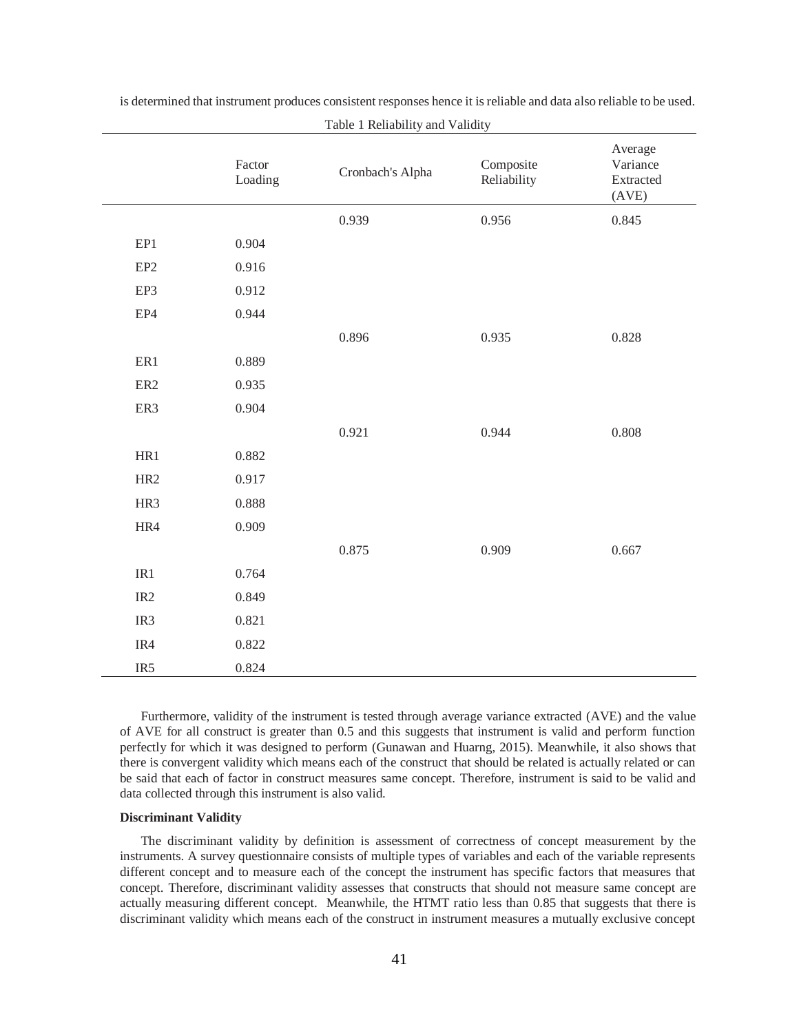|                 | Factor<br>Loading | Cronbach's Alpha | Composite<br>Reliability | Average<br>Variance<br>Extracted<br>(AVE) |
|-----------------|-------------------|------------------|--------------------------|-------------------------------------------|
|                 |                   | 0.939            | 0.956                    | 0.845                                     |
| EP1             | 0.904             |                  |                          |                                           |
| EP <sub>2</sub> | 0.916             |                  |                          |                                           |
| EP3             | 0.912             |                  |                          |                                           |
| EP4             | 0.944             |                  |                          |                                           |
|                 |                   | 0.896            | 0.935                    | 0.828                                     |
| ER1             | 0.889             |                  |                          |                                           |
| ER <sub>2</sub> | 0.935             |                  |                          |                                           |
| ER3             | 0.904             |                  |                          |                                           |
|                 |                   | 0.921            | 0.944                    | $0.808\,$                                 |
| HR1             | 0.882             |                  |                          |                                           |
| HR <sub>2</sub> | 0.917             |                  |                          |                                           |
| HR3             | 0.888             |                  |                          |                                           |
| HR4             | 0.909             |                  |                          |                                           |
|                 |                   | 0.875            | 0.909                    | 0.667                                     |
| IR1             | 0.764             |                  |                          |                                           |
| IR <sub>2</sub> | 0.849             |                  |                          |                                           |
| IR3             | 0.821             |                  |                          |                                           |
| IR4             | 0.822             |                  |                          |                                           |
| IR <sub>5</sub> | 0.824             |                  |                          |                                           |

is determined that instrument produces consistent responses hence it is reliable and data also reliable to be used. Table 1 Reliability and Validity

Furthermore, validity of the instrument is tested through average variance extracted (AVE) and the value of AVE for all construct is greater than 0.5 and this suggests that instrument is valid and perform function perfectly for which it was designed to perform (Gunawan and Huarng, 2015). Meanwhile, it also shows that there is convergent validity which means each of the construct that should be related is actually related or can be said that each of factor in construct measures same concept. Therefore, instrument is said to be valid and data collected through this instrument is also valid.

# **Discriminant Validity**

The discriminant validity by definition is assessment of correctness of concept measurement by the instruments. A survey questionnaire consists of multiple types of variables and each of the variable represents different concept and to measure each of the concept the instrument has specific factors that measures that concept. Therefore, discriminant validity assesses that constructs that should not measure same concept are actually measuring different concept. Meanwhile, the HTMT ratio less than 0.85 that suggests that there is discriminant validity which means each of the construct in instrument measures a mutually exclusive concept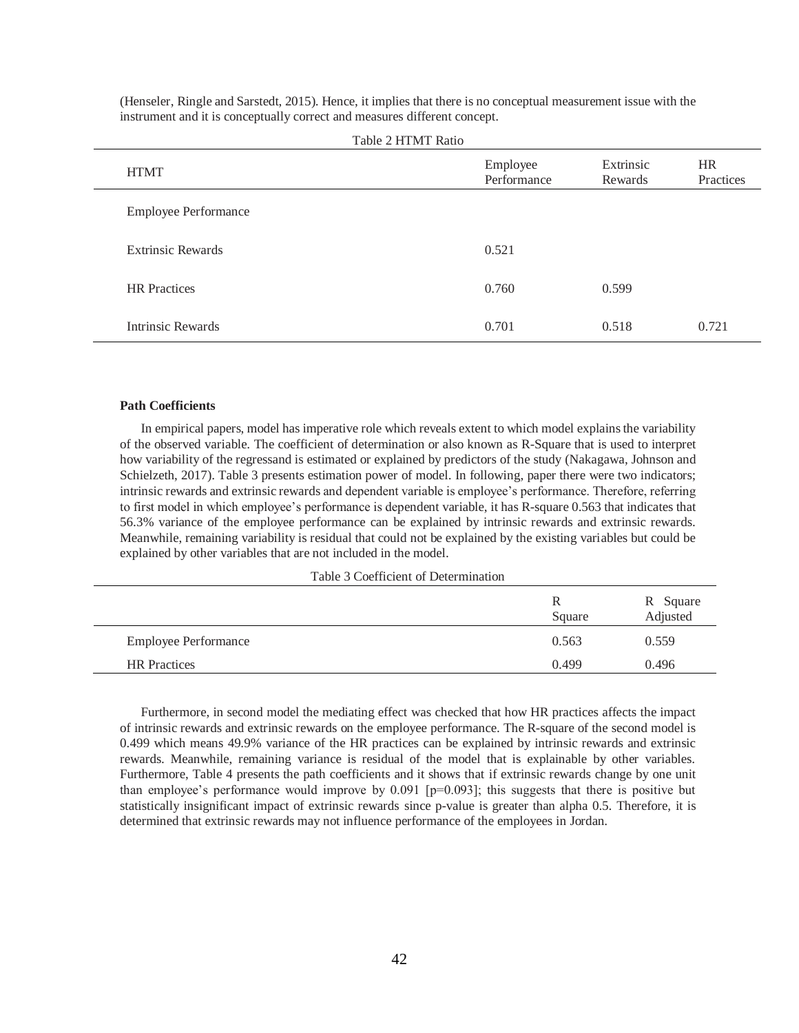| <b>HTMT</b>                 | Employee<br>Performance | Extrinsic<br>Rewards | <b>HR</b><br>Practices |
|-----------------------------|-------------------------|----------------------|------------------------|
| <b>Employee Performance</b> |                         |                      |                        |
| <b>Extrinsic Rewards</b>    | 0.521                   |                      |                        |
| <b>HR</b> Practices         | 0.760                   | 0.599                |                        |
| <b>Intrinsic Rewards</b>    | 0.701                   | 0.518                | 0.721                  |

(Henseler, Ringle and Sarstedt, 2015). Hence, it implies that there is no conceptual measurement issue with the instrument and it is conceptually correct and measures different concept.

## **Path Coefficients**

In empirical papers, model has imperative role which reveals extent to which model explains the variability of the observed variable. The coefficient of determination or also known as R-Square that is used to interpret how variability of the regressand is estimated or explained by predictors of the study (Nakagawa, Johnson and Schielzeth, 2017). Table 3 presents estimation power of model. In following, paper there were two indicators; intrinsic rewards and extrinsic rewards and dependent variable is employee's performance. Therefore, referring to first model in which employee's performance is dependent variable, it has R-square 0.563 that indicates that 56.3% variance of the employee performance can be explained by intrinsic rewards and extrinsic rewards. Meanwhile, remaining variability is residual that could not be explained by the existing variables but could be explained by other variables that are not included in the model.

Table 3 Coefficient of Determination

|                             | R<br>Square | R Square<br>Adjusted |
|-----------------------------|-------------|----------------------|
| <b>Employee Performance</b> | 0.563       | 0.559                |
| <b>HR</b> Practices         | 0.499       | 0.496                |

Furthermore, in second model the mediating effect was checked that how HR practices affects the impact of intrinsic rewards and extrinsic rewards on the employee performance. The R-square of the second model is 0.499 which means 49.9% variance of the HR practices can be explained by intrinsic rewards and extrinsic rewards. Meanwhile, remaining variance is residual of the model that is explainable by other variables. Furthermore, Table 4 presents the path coefficients and it shows that if extrinsic rewards change by one unit than employee's performance would improve by  $0.091$  [p=0.093]; this suggests that there is positive but statistically insignificant impact of extrinsic rewards since p-value is greater than alpha 0.5. Therefore, it is determined that extrinsic rewards may not influence performance of the employees in Jordan.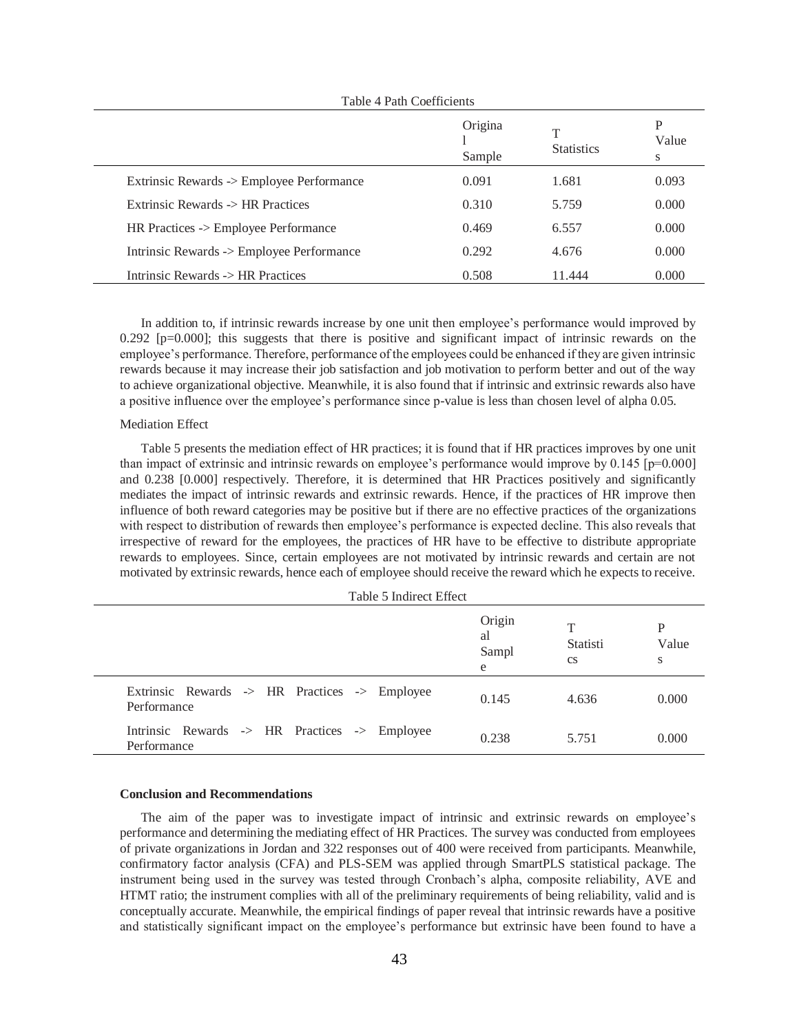|                                           | Origina<br>Sample | T<br><b>Statistics</b> | P<br>Value<br>S |
|-------------------------------------------|-------------------|------------------------|-----------------|
| Extrinsic Rewards -> Employee Performance | 0.091             | 1.681                  | 0.093           |
| Extrinsic Rewards -> HR Practices         | 0.310             | 5.759                  | 0.000           |
| HR Practices -> Employee Performance      | 0.469             | 6.557                  | 0.000           |
| Intrinsic Rewards -> Employee Performance | 0.292             | 4.676                  | 0.000           |
| Intrinsic Rewards -> HR Practices         | 0.508             | 11.444                 | 0.000           |

## Table 4 Path Coefficients

In addition to, if intrinsic rewards increase by one unit then employee's performance would improved by 0.292 [p=0.000]; this suggests that there is positive and significant impact of intrinsic rewards on the employee's performance. Therefore, performance of the employees could be enhanced if they are given intrinsic rewards because it may increase their job satisfaction and job motivation to perform better and out of the way to achieve organizational objective. Meanwhile, it is also found that if intrinsic and extrinsic rewards also have a positive influence over the employee's performance since p-value is less than chosen level of alpha 0.05.

# Mediation Effect

Table 5 presents the mediation effect of HR practices; it is found that if HR practices improves by one unit than impact of extrinsic and intrinsic rewards on employee's performance would improve by 0.145 [p=0.000] and 0.238 [0.000] respectively. Therefore, it is determined that HR Practices positively and significantly mediates the impact of intrinsic rewards and extrinsic rewards. Hence, if the practices of HR improve then influence of both reward categories may be positive but if there are no effective practices of the organizations with respect to distribution of rewards then employee's performance is expected decline. This also reveals that irrespective of reward for the employees, the practices of HR have to be effective to distribute appropriate rewards to employees. Since, certain employees are not motivated by intrinsic rewards and certain are not motivated by extrinsic rewards, hence each of employee should receive the reward which he expects to receive.

| Table 5 Indirect Effect                                      |                            |                                 |                 |
|--------------------------------------------------------------|----------------------------|---------------------------------|-----------------|
|                                                              | Origin<br>al<br>Sampl<br>e | Т<br>Statisti<br><sub>c</sub> s | P<br>Value<br>S |
| Extrinsic Rewards -> HR Practices -> Employee<br>Performance | 0.145                      | 4.636                           | 0.000           |
| Intrinsic Rewards -> HR Practices -> Employee<br>Performance | 0.238                      | 5.751                           | 0.000           |

#### **Conclusion and Recommendations**

The aim of the paper was to investigate impact of intrinsic and extrinsic rewards on employee's performance and determining the mediating effect of HR Practices. The survey was conducted from employees of private organizations in Jordan and 322 responses out of 400 were received from participants. Meanwhile, confirmatory factor analysis (CFA) and PLS-SEM was applied through SmartPLS statistical package. The instrument being used in the survey was tested through Cronbach's alpha, composite reliability, AVE and HTMT ratio; the instrument complies with all of the preliminary requirements of being reliability, valid and is conceptually accurate. Meanwhile, the empirical findings of paper reveal that intrinsic rewards have a positive and statistically significant impact on the employee's performance but extrinsic have been found to have a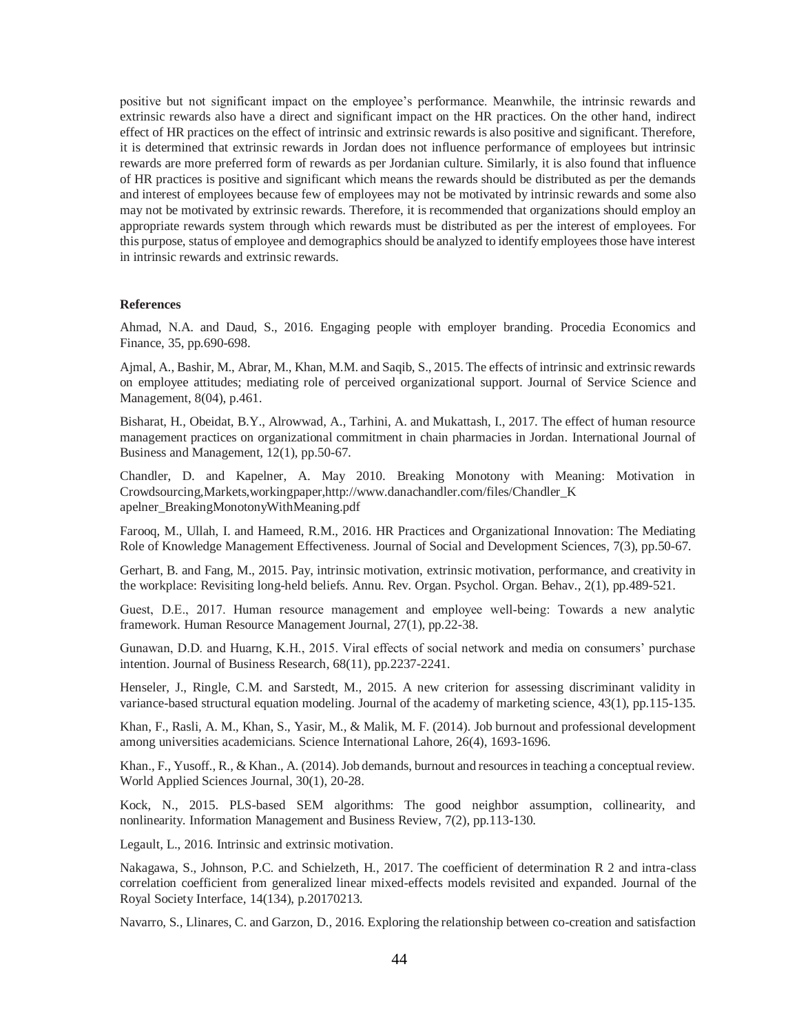positive but not significant impact on the employee's performance. Meanwhile, the intrinsic rewards and extrinsic rewards also have a direct and significant impact on the HR practices. On the other hand, indirect effect of HR practices on the effect of intrinsic and extrinsic rewards is also positive and significant. Therefore, it is determined that extrinsic rewards in Jordan does not influence performance of employees but intrinsic rewards are more preferred form of rewards as per Jordanian culture. Similarly, it is also found that influence of HR practices is positive and significant which means the rewards should be distributed as per the demands and interest of employees because few of employees may not be motivated by intrinsic rewards and some also may not be motivated by extrinsic rewards. Therefore, it is recommended that organizations should employ an appropriate rewards system through which rewards must be distributed as per the interest of employees. For this purpose, status of employee and demographics should be analyzed to identify employees those have interest in intrinsic rewards and extrinsic rewards.

## **References**

Ahmad, N.A. and Daud, S., 2016. Engaging people with employer branding. Procedia Economics and Finance, 35, pp.690-698.

Ajmal, A., Bashir, M., Abrar, M., Khan, M.M. and Saqib, S., 2015. The effects of intrinsic and extrinsic rewards on employee attitudes; mediating role of perceived organizational support. Journal of Service Science and Management, 8(04), p.461.

Bisharat, H., Obeidat, B.Y., Alrowwad, A., Tarhini, A. and Mukattash, I., 2017. The effect of human resource management practices on organizational commitment in chain pharmacies in Jordan. International Journal of Business and Management, 12(1), pp.50-67.

Chandler, D. and Kapelner, A. May 2010. Breaking Monotony with Meaning: Motivation in Crowdsourcing,Markets,workingpaper,http://www.danachandler.com/files/Chandler\_K apelner\_BreakingMonotonyWithMeaning.pdf

Farooq, M., Ullah, I. and Hameed, R.M., 2016. HR Practices and Organizational Innovation: The Mediating Role of Knowledge Management Effectiveness. Journal of Social and Development Sciences, 7(3), pp.50-67.

Gerhart, B. and Fang, M., 2015. Pay, intrinsic motivation, extrinsic motivation, performance, and creativity in the workplace: Revisiting long-held beliefs. Annu. Rev. Organ. Psychol. Organ. Behav., 2(1), pp.489-521.

Guest, D.E., 2017. Human resource management and employee well‐being: Towards a new analytic framework. Human Resource Management Journal, 27(1), pp.22-38.

Gunawan, D.D. and Huarng, K.H., 2015. Viral effects of social network and media on consumers' purchase intention. Journal of Business Research, 68(11), pp.2237-2241.

Henseler, J., Ringle, C.M. and Sarstedt, M., 2015. A new criterion for assessing discriminant validity in variance-based structural equation modeling. Journal of the academy of marketing science, 43(1), pp.115-135.

Khan, F., Rasli, A. M., Khan, S., Yasir, M., & Malik, M. F. (2014). Job burnout and professional development among universities academicians. Science International Lahore, 26(4), 1693-1696.

Khan., F., Yusoff., R., & Khan., A. (2014). Job demands, burnout and resources in teaching a conceptual review. World Applied Sciences Journal, 30(1), 20-28.

Kock, N., 2015. PLS-based SEM algorithms: The good neighbor assumption, collinearity, and nonlinearity. Information Management and Business Review, 7(2), pp.113-130.

Legault, L., 2016. Intrinsic and extrinsic motivation.

Nakagawa, S., Johnson, P.C. and Schielzeth, H., 2017. The coefficient of determination R 2 and intra-class correlation coefficient from generalized linear mixed-effects models revisited and expanded. Journal of the Royal Society Interface, 14(134), p.20170213.

Navarro, S., Llinares, C. and Garzon, D., 2016. Exploring the relationship between co-creation and satisfaction